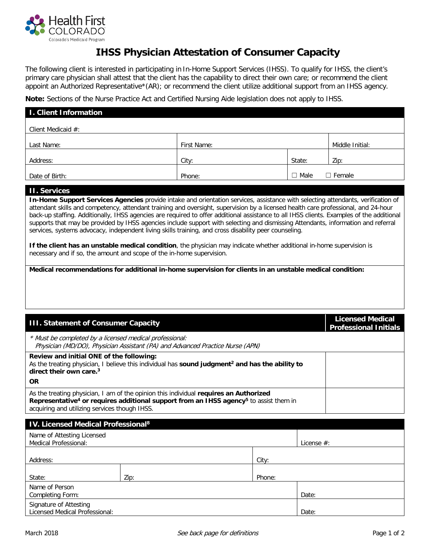

## **IHSS Physician Attestation of Consumer Capacity**

The following client is interested in participating in In-Home Support Services (IHSS). To qualify for IHSS, the client's primary care physician shall attest that the client has the capability to direct their own care; or recommend the client appoint an Authorized Representative\*(AR); or recommend the client utilize additional support from an IHSS agency.

**Note:** Sections of the Nurse Practice Act and Certified Nursing Aide legislation does not apply to IHSS.

| <b>I. Client Information</b> |             |             |                 |  |
|------------------------------|-------------|-------------|-----------------|--|
| Client Medicaid #:           |             |             |                 |  |
| Last Name:                   | First Name: |             | Middle Initial: |  |
| Address:                     | City:       | State:      | Zip:            |  |
| Date of Birth:               | Phone:      | $\Box$ Male | $\Box$ Female   |  |

## **II. Services**

**In-Home Support Services Agencies** provide intake and orientation services, assistance with selecting attendants, verification of attendant skills and competency, attendant training and oversight, supervision by a licensed health care professional, and 24-hour back-up staffing. Additionally, IHSS agencies are required to offer additional assistance to all IHSS clients. Examples of the additional supports that may be provided by IHSS agencies include support with selecting and dismissing Attendants, information and referral services, systems advocacy, independent living skills training, and cross disability peer counseling.

**If the client has an unstable medical condition**, the physician may indicate whether additional in-home supervision is necessary and if so, the amount and scope of the in-home supervision.

**Medical recommendations for additional in-home supervision for clients in an unstable medical condition:**

| <b>III. Statement of Consumer Capacity</b>                                                                                                                                                                                                              |                                                                                                             |        | <b>Licensed Medical</b><br><b>Professional Initials</b> |  |
|---------------------------------------------------------------------------------------------------------------------------------------------------------------------------------------------------------------------------------------------------------|-------------------------------------------------------------------------------------------------------------|--------|---------------------------------------------------------|--|
| * Must be completed by a licensed medical professional:                                                                                                                                                                                                 | Physician (MD/DO), Physician Assistant (PA) and Advanced Practice Nurse (APN)                               |        |                                                         |  |
| Review and initial ONE of the following:<br>direct their own care. <sup>3</sup>                                                                                                                                                                         | As the treating physician, I believe this individual has sound judgment <sup>2</sup> and has the ability to |        |                                                         |  |
| <b>OR</b>                                                                                                                                                                                                                                               |                                                                                                             |        |                                                         |  |
| As the treating physician, I am of the opinion this individual requires an Authorized<br>Representative <sup>4</sup> or requires additional support from an IHSS agency <sup>5</sup> to assist them in<br>acquiring and utilizing services though IHSS. |                                                                                                             |        |                                                         |  |
| <b>IV. Licensed Medical Professional<sup>8</sup></b>                                                                                                                                                                                                    |                                                                                                             |        |                                                         |  |
| Name of Attesting Licensed<br>Medical Professional:                                                                                                                                                                                                     |                                                                                                             |        | License $#$ :                                           |  |
| Address:                                                                                                                                                                                                                                                |                                                                                                             | City:  |                                                         |  |
| State:                                                                                                                                                                                                                                                  | Zip:                                                                                                        | Phone: |                                                         |  |
| Name of Person<br>Completing Form:                                                                                                                                                                                                                      |                                                                                                             |        | Date:                                                   |  |
| Signature of Attesting<br><b>Licensed Medical Professional:</b>                                                                                                                                                                                         |                                                                                                             |        | Date:                                                   |  |